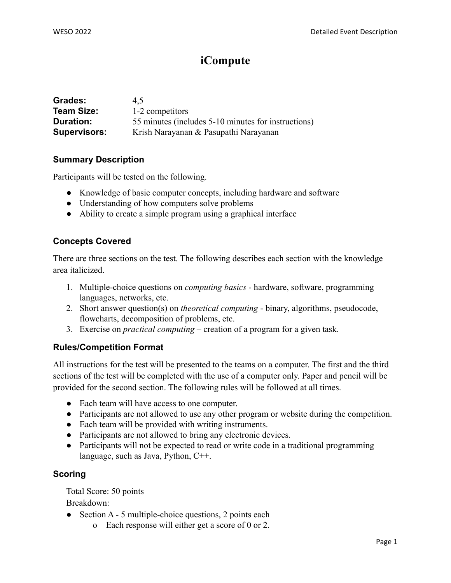# **iCompute**

| Grades:             | 4.5                                                 |  |
|---------------------|-----------------------------------------------------|--|
| <b>Team Size:</b>   | 1-2 competitors                                     |  |
| Duration:           | 55 minutes (includes 5-10 minutes for instructions) |  |
| <b>Supervisors:</b> | Krish Narayanan & Pasupathi Narayanan               |  |

### **Summary Description**

Participants will be tested on the following.

- Knowledge of basic computer concepts, including hardware and software
- Understanding of how computers solve problems
- Ability to create a simple program using a graphical interface

### **Concepts Covered**

There are three sections on the test. The following describes each section with the knowledge area italicized.

- 1. Multiple-choice questions on *computing basics* hardware, software, programming languages, networks, etc.
- 2. Short answer question(s) on *theoretical computing* binary, algorithms, pseudocode, flowcharts, decomposition of problems, etc.
- 3. Exercise on *practical computing* creation of a program for a given task.

#### **Rules/Competition Format**

All instructions for the test will be presented to the teams on a computer. The first and the third sections of the test will be completed with the use of a computer only. Paper and pencil will be provided for the second section. The following rules will be followed at all times.

- **●** Each team will have access to one computer.
- **●** Participants are not allowed to use any other program or website during the competition.
- **●** Each team will be provided with writing instruments.
- Participants are not allowed to bring any electronic devices.
- Participants will not be expected to read or write code in a traditional programming language, such as Java, Python, C++.

#### **Scoring**

Total Score: 50 points

Breakdown:

- Section A 5 multiple-choice questions, 2 points each
	- o Each response will either get a score of 0 or 2.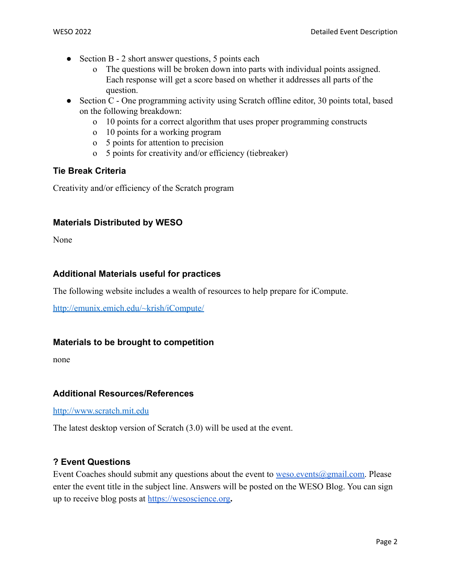- Section B 2 short answer questions, 5 points each
	- o The questions will be broken down into parts with individual points assigned. Each response will get a score based on whether it addresses all parts of the question.
- Section C One programming activity using Scratch offline editor, 30 points total, based on the following breakdown:
	- o 10 points for a correct algorithm that uses proper programming constructs
	- o 10 points for a working program
	- o 5 points for attention to precision
	- o 5 points for creativity and/or efficiency (tiebreaker)

### **Tie Break Criteria**

Creativity and/or efficiency of the Scratch program

### **Materials Distributed by WESO**

None

# **Additional Materials useful for practices**

The following website includes a wealth of resources to help prepare for iCompute.

<http://emunix.emich.edu/~krish/iCompute/>

#### **Materials to be brought to competition**

none

#### **Additional Resources/References**

<http://www.scratch.mit.edu>

The latest desktop version of Scratch (3.0) will be used at the event.

## **? Event Questions**

Event Coaches should submit any questions about the event to  $\underline{w}$  events  $\omega$  gmail.com. Please enter the event title in the subject line. Answers will be posted on the WESO Blog. You can sign up to receive blog posts at <https://wesoscience.org>**.**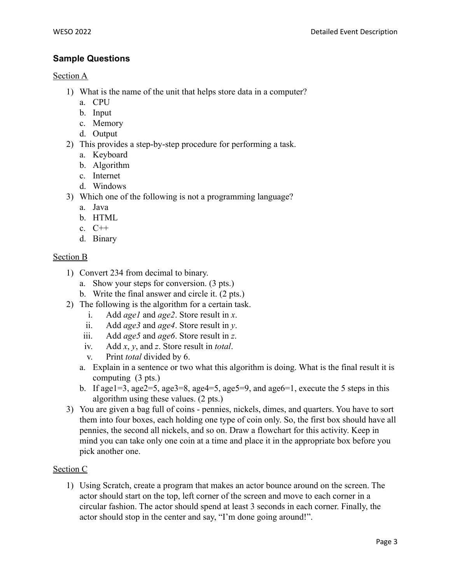# **Sample Questions**

## Section A

- 1) What is the name of the unit that helps store data in a computer?
	- a. CPU
	- b. Input
	- c. Memory
	- d. Output
- 2) This provides a step-by-step procedure for performing a task.
	- a. Keyboard
	- b. Algorithm
	- c. Internet
	- d. Windows
- 3) Which one of the following is not a programming language?
	- a. Java
	- b. HTML
	- c.  $C++$
	- d. Binary

# Section B

- 1) Convert 234 from decimal to binary.
	- a. Show your steps for conversion. (3 pts.)
	- b. Write the final answer and circle it. (2 pts.)
- 2) The following is the algorithm for a certain task.
	- i. Add *age1* and *age2*. Store result in *x*.
	- ii. Add *age3* and *age4*. Store result in *y*.
	- iii. Add *age5* and *age6*. Store result in *z*.
	- iv. Add *x*, *y*, and *z*. Store result in *total*.
	- v. Print *total* divided by 6.
	- a. Explain in a sentence or two what this algorithm is doing. What is the final result it is computing (3 pts.)
	- b. If age1=3, age2=5, age3=8, age4=5, age5=9, and age6=1, execute the 5 steps in this algorithm using these values. (2 pts.)
- 3) You are given a bag full of coins pennies, nickels, dimes, and quarters. You have to sort them into four boxes, each holding one type of coin only. So, the first box should have all pennies, the second all nickels, and so on. Draw a flowchart for this activity. Keep in mind you can take only one coin at a time and place it in the appropriate box before you pick another one.

# Section C

1) Using Scratch, create a program that makes an actor bounce around on the screen. The actor should start on the top, left corner of the screen and move to each corner in a circular fashion. The actor should spend at least 3 seconds in each corner. Finally, the actor should stop in the center and say, "I'm done going around!".